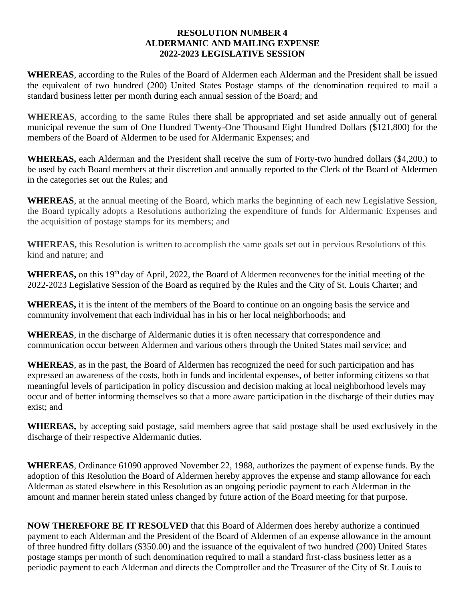## **RESOLUTION NUMBER 4 ALDERMANIC AND MAILING EXPENSE 2022-2023 LEGISLATIVE SESSION**

**WHEREAS**, according to the Rules of the Board of Aldermen each Alderman and the President shall be issued the equivalent of two hundred (200) United States Postage stamps of the denomination required to mail a standard business letter per month during each annual session of the Board; and

**WHEREAS**, according to the same Rules there shall be appropriated and set aside annually out of general municipal revenue the sum of One Hundred Twenty-One Thousand Eight Hundred Dollars (\$121,800) for the members of the Board of Aldermen to be used for Aldermanic Expenses; and

**WHEREAS,** each Alderman and the President shall receive the sum of Forty-two hundred dollars (\$4,200.) to be used by each Board members at their discretion and annually reported to the Clerk of the Board of Aldermen in the categories set out the Rules; and

**WHEREAS**, at the annual meeting of the Board, which marks the beginning of each new Legislative Session, the Board typically adopts a Resolutions authorizing the expenditure of funds for Aldermanic Expenses and the acquisition of postage stamps for its members; and

**WHEREAS,** this Resolution is written to accomplish the same goals set out in pervious Resolutions of this kind and nature; and

WHEREAS, on this 19<sup>th</sup> day of April, 2022, the Board of Aldermen reconvenes for the initial meeting of the 2022-2023 Legislative Session of the Board as required by the Rules and the City of St. Louis Charter; and

**WHEREAS,** it is the intent of the members of the Board to continue on an ongoing basis the service and community involvement that each individual has in his or her local neighborhoods; and

**WHEREAS**, in the discharge of Aldermanic duties it is often necessary that correspondence and communication occur between Aldermen and various others through the United States mail service; and

**WHEREAS**, as in the past, the Board of Aldermen has recognized the need for such participation and has expressed an awareness of the costs, both in funds and incidental expenses, of better informing citizens so that meaningful levels of participation in policy discussion and decision making at local neighborhood levels may occur and of better informing themselves so that a more aware participation in the discharge of their duties may exist; and

**WHEREAS,** by accepting said postage, said members agree that said postage shall be used exclusively in the discharge of their respective Aldermanic duties.

**WHEREAS**, Ordinance 61090 approved November 22, 1988, authorizes the payment of expense funds. By the adoption of this Resolution the Board of Aldermen hereby approves the expense and stamp allowance for each Alderman as stated elsewhere in this Resolution as an ongoing periodic payment to each Alderman in the amount and manner herein stated unless changed by future action of the Board meeting for that purpose.

**NOW THEREFORE BE IT RESOLVED** that this Board of Aldermen does hereby authorize a continued payment to each Alderman and the President of the Board of Aldermen of an expense allowance in the amount of three hundred fifty dollars (\$350.00) and the issuance of the equivalent of two hundred (200) United States postage stamps per month of such denomination required to mail a standard first-class business letter as a periodic payment to each Alderman and directs the Comptroller and the Treasurer of the City of St. Louis to